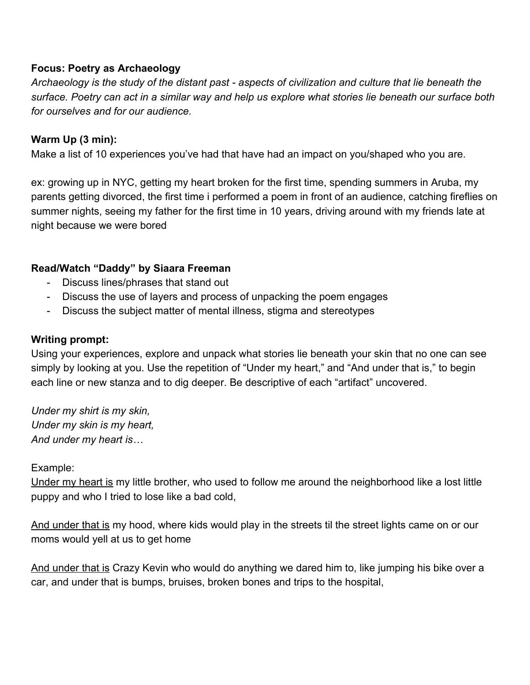## **Focus: Poetry as Archaeology**

Archaeology is the study of the distant past - aspects of civilization and culture that lie beneath the surface. Poetry can act in a similar way and help us explore what stories lie beneath our surface both *for ourselves and for our audience.*

# **Warm Up (3 min):**

Make a list of 10 experiences you've had that have had an impact on you/shaped who you are.

ex: growing up in NYC, getting my heart broken for the first time, spending summers in Aruba, my parents getting divorced, the first time i performed a poem in front of an audience, catching fireflies on summer nights, seeing my father for the first time in 10 years, driving around with my friends late at night because we were bored

## **Read/Watch "Daddy" by Siaara Freeman**

- Discuss lines/phrases that stand out
- Discuss the use of layers and process of unpacking the poem engages
- Discuss the subject matter of mental illness, stigma and stereotypes

### **Writing prompt:**

Using your experiences, explore and unpack what stories lie beneath your skin that no one can see simply by looking at you. Use the repetition of "Under my heart," and "And under that is," to begin each line or new stanza and to dig deeper. Be descriptive of each "artifact" uncovered.

*Under my shirt is my skin, Under my skin is my heart, And under my heart is…*

## Example:

Under my heart is my little brother, who used to follow me around the neighborhood like a lost little puppy and who I tried to lose like a bad cold,

And under that is my hood, where kids would play in the streets til the street lights came on or our moms would yell at us to get home

And under that is Crazy Kevin who would do anything we dared him to, like jumping his bike over a car, and under that is bumps, bruises, broken bones and trips to the hospital,